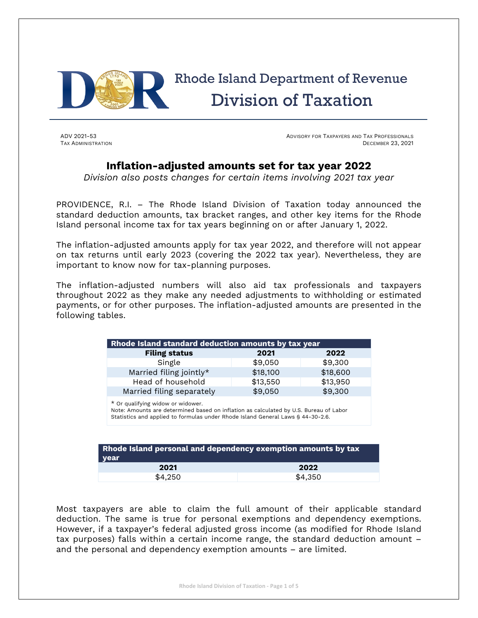

# Rhode Island Department of Revenue Division of Taxation

ADV 2021-53 ADVISORY FOR TAXPAYERS AND TAX PROFESSIONALS TAX ADMINISTRATION DECEMBER 23, 2021

### **Inflation-adjusted amounts set for tax year 2022**

*Division also posts changes for certain items involving 2021 tax year*

PROVIDENCE, R.I. – The Rhode Island Division of Taxation today announced the standard deduction amounts, tax bracket ranges, and other key items for the Rhode Island personal income tax for tax years beginning on or after January 1, 2022.

The inflation-adjusted amounts apply for tax year 2022, and therefore will not appear on tax returns until early 2023 (covering the 2022 tax year). Nevertheless, they are important to know now for tax-planning purposes.

The inflation-adjusted numbers will also aid tax professionals and taxpayers throughout 2022 as they make any needed adjustments to withholding or estimated payments, or for other purposes. The inflation-adjusted amounts are presented in the following tables.

| Rhode Island standard deduction amounts by tax year |          |          |  |
|-----------------------------------------------------|----------|----------|--|
| <b>Filing status</b>                                | 2021     | 2022     |  |
| Single                                              | \$9,050  | \$9,300  |  |
| Married filing jointly*                             | \$18,100 | \$18,600 |  |
| Head of household                                   | \$13,550 | \$13,950 |  |
| Married filing separately                           | \$9,050  | \$9,300  |  |

\* Or qualifying widow or widower. Note: Amounts are determined based on inflation as calculated by U.S. Bureau of Labor Statistics and applied to formulas under Rhode Island General Laws § 44-30-2.6.

| Rhode Island personal and dependency exemption amounts by tax<br>vear |         |  |
|-----------------------------------------------------------------------|---------|--|
| 2021                                                                  | 2022    |  |
| \$4.250                                                               | \$4,350 |  |

Most taxpayers are able to claim the full amount of their applicable standard deduction. The same is true for personal exemptions and dependency exemptions. However, if a taxpayer's federal adjusted gross income (as modified for Rhode Island tax purposes) falls within a certain income range, the standard deduction amount – and the personal and dependency exemption amounts – are limited.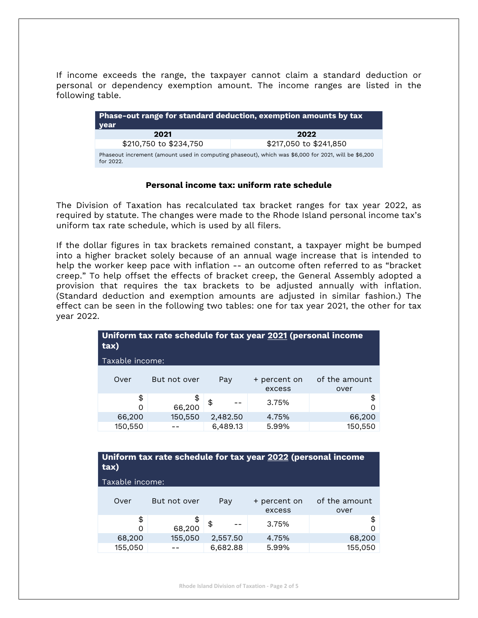If income exceeds the range, the taxpayer cannot claim a standard deduction or personal or dependency exemption amount. The income ranges are listed in the following table.

| <b>Phase-out range for standard deduction, exemption amounts by tax</b><br>l year                                |                        |  |
|------------------------------------------------------------------------------------------------------------------|------------------------|--|
| 2021                                                                                                             | 2022                   |  |
| \$210,750 to \$234,750                                                                                           | \$217,050 to \$241,850 |  |
| Phaseout increment (amount used in computing phaseout), which was \$6,000 for 2021, will be \$6,200<br>for 2022. |                        |  |

#### **Personal income tax: uniform rate schedule**

The Division of Taxation has recalculated tax bracket ranges for tax year 2022, as required by statute. The changes were made to the Rhode Island personal income tax's uniform tax rate schedule, which is used by all filers.

If the dollar figures in tax brackets remained constant, a taxpayer might be bumped into a higher bracket solely because of an annual wage increase that is intended to help the worker keep pace with inflation -- an outcome often referred to as "bracket creep." To help offset the effects of bracket creep, the General Assembly adopted a provision that requires the tax brackets to be adjusted annually with inflation. (Standard deduction and exemption amounts are adjusted in similar fashion.) The effect can be seen in the following two tables: one for tax year 2021, the other for tax year 2022.

| Uniform tax rate schedule for tax year 2021 (personal income<br>tax) |              |          |                        |                       |
|----------------------------------------------------------------------|--------------|----------|------------------------|-----------------------|
| Taxable income:                                                      |              |          |                        |                       |
| Over                                                                 | But not over | Pay      | + percent on<br>excess | of the amount<br>over |
| \$<br>$\Omega$                                                       | \$<br>66,200 | \$       | 3.75%                  | \$<br>ი               |
| 66,200                                                               | 150,550      | 2,482.50 | 4.75%                  | 66,200                |
| 150,550                                                              |              | 6,489.13 | 5.99%                  | 150,550               |
| Uniform tax rate schedule for tax year 2022 (personal income         |              |          |                        |                       |

| Uniform tax rate schedule for tax year 2022 (personal income<br>tax) |  |
|----------------------------------------------------------------------|--|
| Taxable income:                                                      |  |

| Over    | But not over | Pay      | + percent on<br>excess | of the amount<br>over |
|---------|--------------|----------|------------------------|-----------------------|
| \$<br>0 | 68,200       | \$       | 3.75%                  |                       |
| 68,200  | 155,050      | 2,557.50 | 4.75%                  | 68,200                |
| 155,050 |              | 6.682.88 | 5.99%                  | 155,050               |

**Rhode Island Division of Taxation - Page 2 of 5**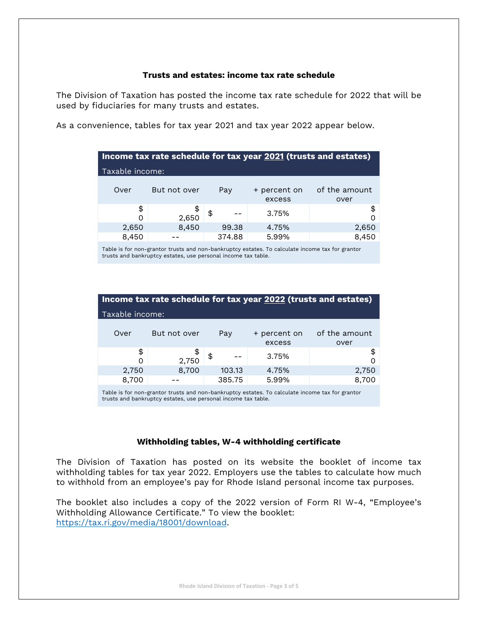#### **Trusts and estates: income tax rate schedule**

The Division of Taxation has posted the income tax rate schedule for 2022 that will be used by fiduciaries for many trusts and estates.

As a convenience, tables for tax year 2021 and tax year 2022 appear below.

| Income tax rate schedule for tax year 2021 (trusts and estates) |              |        |                        |                       |
|-----------------------------------------------------------------|--------------|--------|------------------------|-----------------------|
| Taxable income:                                                 |              |        |                        |                       |
| Over                                                            | But not over | Pay    | + percent on<br>excess | of the amount<br>over |
| \$<br>O                                                         | \$<br>2,650  | \$     | 3.75%                  | \$<br>$\Omega$        |
| 2,650                                                           | 8,450        | 99.38  | 4.75%                  | 2,650                 |
| 8,450                                                           |              | 374.88 | 5.99%                  | 8,450                 |

Table is for non-grantor trusts and non-bankruptcy estates. To calculate income tax for grantor trusts and bankruptcy estates, use personal income tax table.

| Income tax rate schedule for tax year 2022 (trusts and estates) |              |        |                        |                       |
|-----------------------------------------------------------------|--------------|--------|------------------------|-----------------------|
| Taxable income:                                                 |              |        |                        |                       |
| Over                                                            | But not over | Pay    | + percent on<br>excess | of the amount<br>over |
| \$<br>O                                                         | \$<br>2,750  | \$     | 3.75%                  | \$                    |
| 2,750                                                           | 8,700        | 103.13 | 4.75%                  | 2,750                 |
| 8,700                                                           |              | 385.75 | 5.99%                  | 8,700                 |
|                                                                 |              |        |                        |                       |

Table is for non-grantor trusts and non-bankruptcy estates. To calculate income tax for grantor trusts and bankruptcy estates, use personal income tax table.

#### **Withholding tables, W-4 withholding certificate**

The Division of Taxation has posted on its website the booklet of income tax withholding tables for tax year 2022. Employers use the tables to calculate how much to withhold from an employee's pay for Rhode Island personal income tax purposes.

The booklet also includes a copy of the 2022 version of Form RI W-4, "Employee's Withholding Allowance Certificate." To view the booklet: [https://tax.ri.gov/media/18001/download.](https://tax.ri.gov/media/18001/download)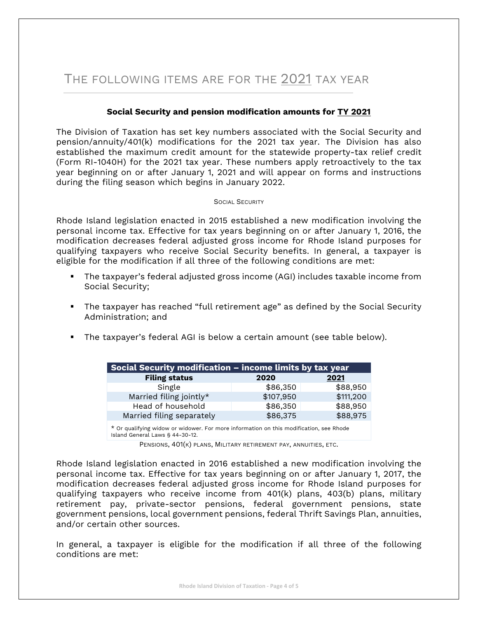## THE FOLLOWING ITEMS ARE FOR THE 2021 TAX YEAR

#### **Social Security and pension modification amounts for TY 2021**

The Division of Taxation has set key numbers associated with the Social Security and pension/annuity/401(k) modifications for the 2021 tax year. The Division has also established the maximum credit amount for the statewide property-tax relief credit (Form RI-1040H) for the 2021 tax year. These numbers apply retroactively to the tax year beginning on or after January 1, 2021 and will appear on forms and instructions during the filing season which begins in January 2022.

#### SOCIAL SECURITY

Rhode Island legislation enacted in 2015 established a new modification involving the personal income tax. Effective for tax years beginning on or after January 1, 2016, the modification decreases federal adjusted gross income for Rhode Island purposes for qualifying taxpayers who receive Social Security benefits. In general, a taxpayer is eligible for the modification if all three of the following conditions are met:

- The taxpayer's federal adjusted gross income (AGI) includes taxable income from Social Security;
- The taxpayer has reached "full retirement age" as defined by the Social Security Administration; and
- The taxpayer's federal AGI is below a certain amount (see table below).

| Social Security modification – income limits by tax year |           |           |
|----------------------------------------------------------|-----------|-----------|
| <b>Filing status</b>                                     | 2020      | 2021      |
| Single                                                   | \$86,350  | \$88,950  |
| Married filing jointly*                                  | \$107,950 | \$111,200 |
| Head of household                                        | \$86,350  | \$88,950  |
| Married filing separately                                | \$86,375  | \$88,975  |
|                                                          |           |           |

\* Or qualifying widow or widower. For more information on this modification, see Rhode Island General Laws § 44-30-12.

PENSIONS, 401(K) PLANS, MILITARY RETIREMENT PAY, ANNUITIES, ETC.

Rhode Island legislation enacted in 2016 established a new modification involving the personal income tax. Effective for tax years beginning on or after January 1, 2017, the modification decreases federal adjusted gross income for Rhode Island purposes for qualifying taxpayers who receive income from 401(k) plans, 403(b) plans, military retirement pay, private‐sector pensions, federal government pensions, state government pensions, local government pensions, federal Thrift Savings Plan, annuities, and/or certain other sources.

In general, a taxpayer is eligible for the modification if all three of the following conditions are met: